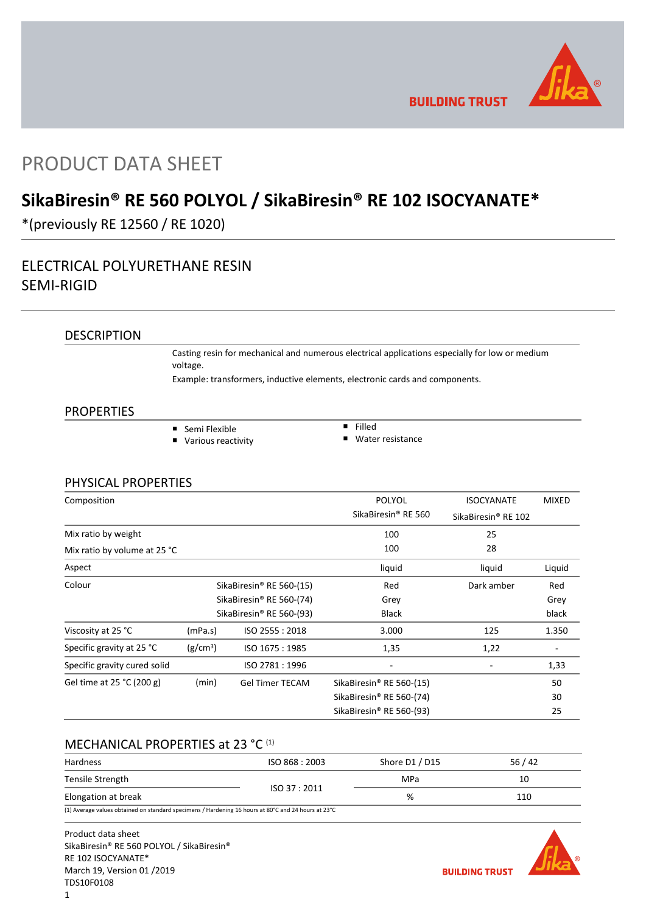

**BUILDING TRUST** 

# PRODUCT DATA SHEET

# **SikaBiresin® RE 560 POLYOL / SikaBiresin® RE 102 ISOCYANATE\***

\*(previously RE 12560 / RE 1020)

## ELECTRICAL POLYURETHANE RESIN SEMI-RIGID

DESCRIPTION

Casting resin for mechanical and numerous electrical applications especially for low or medium voltage.

Example: transformers, inductive elements, electronic cards and components.

## **PROPERTIES**

- Semi Flexible
	- **Various reactivity**
- $\overline{\phantom{a}}$  Filled ■ Water resistance

## PHYSICAL PROPERTIES

| Composition                  |                                      |                                      | POLYOL                               | <b>ISOCYANATE</b>               | <b>MIXED</b> |
|------------------------------|--------------------------------------|--------------------------------------|--------------------------------------|---------------------------------|--------------|
|                              |                                      |                                      | SikaBiresin® RE 560                  | SikaBiresin <sup>®</sup> RE 102 |              |
| Mix ratio by weight          |                                      |                                      | 100                                  | 25                              |              |
| Mix ratio by volume at 25 °C |                                      |                                      | 100                                  | 28                              |              |
| Aspect                       |                                      |                                      | liquid                               | liquid                          | Liquid       |
| Colour                       | SikaBiresin® RE 560-(15)             |                                      | Red                                  | Dark amber                      | Red          |
|                              | SikaBiresin <sup>®</sup> RE 560-(74) |                                      | Grey                                 |                                 | Grey         |
|                              |                                      | SikaBiresin <sup>®</sup> RE 560-(93) | Black                                |                                 | black        |
| Viscosity at 25 °C           | (mPa.s)                              | ISO 2555: 2018                       | 3.000                                | 125                             | 1.350        |
| Specific gravity at 25 °C    | (g/cm <sup>3</sup> )                 | ISO 1675: 1985                       | 1,35                                 | 1,22                            |              |
| Specific gravity cured solid |                                      | ISO 2781: 1996                       |                                      |                                 | 1,33         |
| Gel time at 25 °C (200 g)    | (min)                                | <b>Gel Timer TECAM</b>               | SikaBiresin® RE 560-(15)             |                                 | 50           |
|                              |                                      |                                      | SikaBiresin® RE 560-(74)             |                                 | 30           |
|                              |                                      |                                      | SikaBiresin <sup>®</sup> RE 560-(93) |                                 | 25           |

## MECHANICAL PROPERTIES at 23 °C (1)

| Hardness                                                                                            | ISO 868 : 2003 | Shore D1 / D15 | 56/42 |
|-----------------------------------------------------------------------------------------------------|----------------|----------------|-------|
| Tensile Strength                                                                                    |                | MPa            | 10    |
| Elongation at break                                                                                 | ISO 37:2011    | %              | 110   |
| (1) Average values obtained on standard specimens / Hardening 16 hours at 80°C and 24 hours at 23°C |                |                |       |

Product data sheet SikaBiresin® RE 560 POLYOL / SikaBiresin® RE 102 ISOCYANATE\* March 19, Version 01 /2019 TDS10F0108

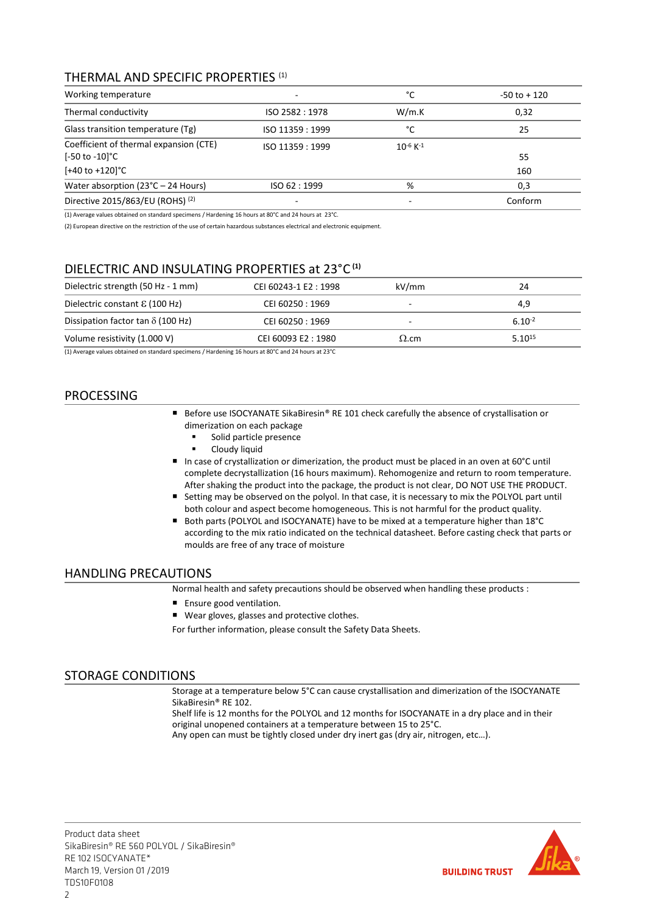## THERMAL AND SPECIFIC PROPERTIES (1)

| Working temperature                                                                                              | °C               | $-50$ to $+120$           |           |
|------------------------------------------------------------------------------------------------------------------|------------------|---------------------------|-----------|
| Thermal conductivity                                                                                             | ISO 2582: 1978   | W/m.K                     | 0,32      |
| Glass transition temperature (Tg)                                                                                | ISO 11359 : 1999 | °C                        | 25        |
| Coefficient of thermal expansion (CTE)<br>$[-50 \text{ to } -10]^{\circ}\text{C}$<br>$[-40 \text{ to } +120]$ °C | ISO 11359 : 1999 | $10^{-6}$ K <sup>-1</sup> | 55<br>160 |
| Water absorption ( $23^{\circ}$ C – 24 Hours)                                                                    | ISO 62:1999      | %                         | 0,3       |
| Directive 2015/863/EU (ROHS) <sup>(2)</sup>                                                                      | -                |                           | Conform   |

(1) Average values obtained on standard specimens / Hardening 16 hours at 80°C and 24 hours at 23°C.

(2) European directive on the restriction of the use of certain hazardous substances electrical and electronic equipment.

## DIELECTRIC AND INSULATING PROPERTIES at 23°C **(1)**

| Dielectric strength (50 Hz - 1 mm)       | CEI 60243-1 E2: 1998 | kV/mm        | 24          |
|------------------------------------------|----------------------|--------------|-------------|
| Dielectric constant $\epsilon$ (100 Hz)  | CEI 60250 : 1969     |              | 4,9         |
| Dissipation factor tan $\delta$ (100 Hz) | CEI 60250 : 1969     |              | $6.10^{-2}$ |
| Volume resistivity (1.000 V)             | CEI 60093 E2:1980    | $\Omega$ .cm | $5.10^{15}$ |

(1) Average values obtained on standard specimens / Hardening 16 hours at 80°C and 24 hours at 23°C

## PROCESSING

- Before use ISOCYANATE SikaBiresin® RE 101 check carefully the absence of crystallisation or dimerization on each package
	- Solid particle presence
	- Cloudy liquid
- In case of crystallization or dimerization, the product must be placed in an oven at 60°C until complete decrystallization (16 hours maximum). Rehomogenize and return to room temperature. After shaking the product into the package, the product is not clear, DO NOT USE THE PRODUCT.
- Setting may be observed on the polyol. In that case, it is necessary to mix the POLYOL part until both colour and aspect become homogeneous. This is not harmful for the product quality.
- Both parts (POLYOL and ISOCYANATE) have to be mixed at a temperature higher than 18°C according to the mix ratio indicated on the technical datasheet. Before casting check that parts or moulds are free of any trace of moisture

## HANDLING PRECAUTIONS

Normal health and safety precautions should be observed when handling these products :

- **Ensure good ventilation.**
- Wear gloves, glasses and protective clothes.

For further information, please consult the Safety Data Sheets.

## STORAGE CONDITIONS

Storage at a temperature below 5°C can cause crystallisation and dimerization of the ISOCYANATE SikaBiresin® RE 102.

Shelf life is 12 months for the POLYOL and 12 months for ISOCYANATE in a dry place and in their original unopened containers at a temperature between 15 to 25°C.

Any open can must be tightly closed under dry inert gas (dry air, nitrogen, etc…).



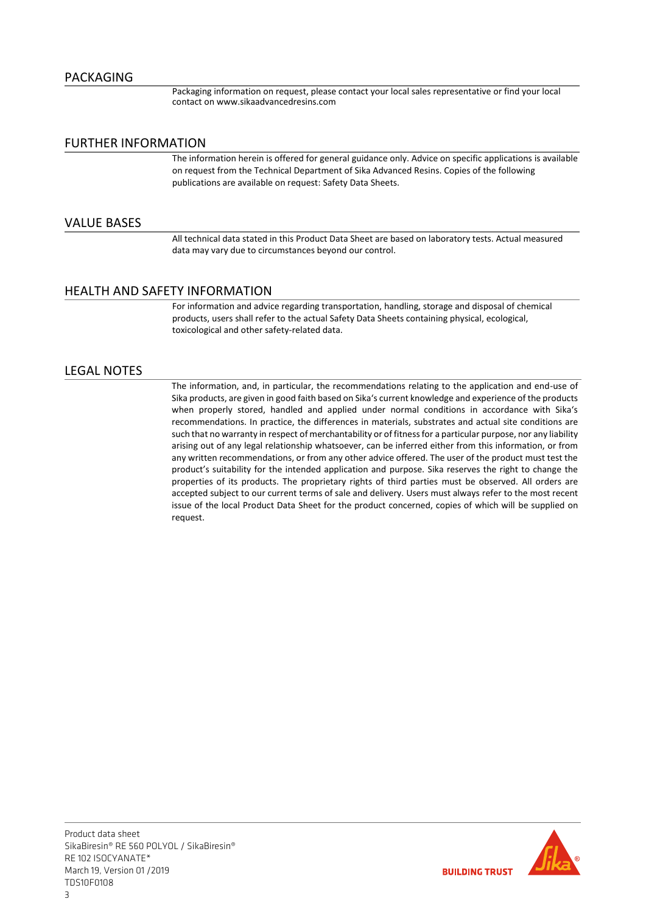Packaging information on request, please contact your local sales representative or find your local contact on www.sikaadvancedresins.com

## FURTHER INFORMATION

The information herein is offered for general guidance only. Advice on specific applications is available on request from the Technical Department of Sika Advanced Resins. Copies of the following publications are available on request: Safety Data Sheets.

## VALUE BASES

All technical data stated in this Product Data Sheet are based on laboratory tests. Actual measured data may vary due to circumstances beyond our control.

## HEALTH AND SAFETY INFORMATION

For information and advice regarding transportation, handling, storage and disposal of chemical products, users shall refer to the actual Safety Data Sheets containing physical, ecological, toxicological and other safety-related data.

## LEGAL NOTES

The information, and, in particular, the recommendations relating to the application and end-use of Sika products, are given in good faith based on Sika's current knowledge and experience of the products when properly stored, handled and applied under normal conditions in accordance with Sika's recommendations. In practice, the differences in materials, substrates and actual site conditions are such that no warranty in respect of merchantability or of fitness for a particular purpose, nor any liability arising out of any legal relationship whatsoever, can be inferred either from this information, or from any written recommendations, or from any other advice offered. The user of the product must test the product's suitability for the intended application and purpose. Sika reserves the right to change the properties of its products. The proprietary rights of third parties must be observed. All orders are accepted subject to our current terms of sale and delivery. Users must always refer to the most recent issue of the local Product Data Sheet for the product concerned, copies of which will be supplied on request.